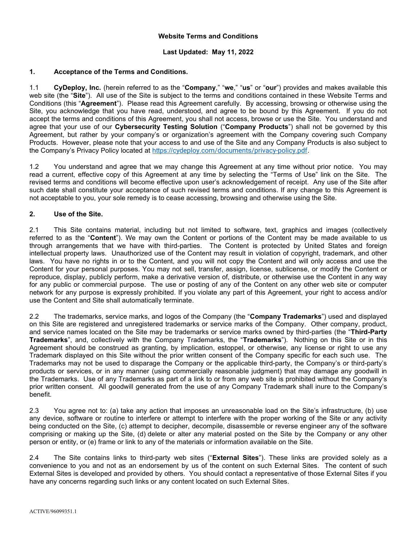#### Website Terms and Conditions

### Last Updated: May 11, 2022

### 1. Acceptance of the Terms and Conditions.

1.1 CyDeploy, Inc. (herein referred to as the "Company," "we," "us" or "our") provides and makes available this web site (the "Site"). All use of the Site is subiect to the terms and conditions contained in these Website Terms and Conditions (this "Agreement"). Please read this Agreement carefully. By accessing, browsing or otherwise using the Site, you acknowledge that you have read, understood, and agree to be bound by this Agreement. If you do not accept the terms and conditions of this Agreement, you shall not access, browse or use the Site. You understand and agree that your use of our Cybersecurity Testing Solution ("Company Products") shall not be governed by this Agreement, but rather by your company's or organization's agreement with the Company covering such Company Products. However, please note that your access to and use of the Site and any Company Products is also subject to the Company's Privacy Policy located at https://cydeploy.com/documents/privacy-policy.pdf.

1.2 You understand and agree that we may change this Agreement at any time without prior notice. You may read a current, effective copy of this Agreement at any time by selecting the "Terms of Use" link on the Site. The revised terms and conditions will become effective upon user's acknowledgement of receipt. Any use of the Site after such date shall constitute your acceptance of such revised terms and conditions. If any change to this Agreement is not acceptable to you, your sole remedy is to cease accessing, browsing and otherwise using the Site.

### 2. Use of the Site.

2.1 This Site contains material, including but not limited to software, text, graphics and images (collectively referred to as the "Content"). We may own the Content or portions of the Content may be made available to us through arrangements that we have with third-parties. The Content is protected by United States and foreign intellectual property laws. Unauthorized use of the Content may result in violation of copyright, trademark, and other laws. You have no rights in or to the Content, and you will not copy the Content and will only access and use the Content for your personal purposes. You may not sell, transfer, assign, license, sublicense, or modify the Content or reproduce, display, publicly perform, make a derivative version of, distribute, or otherwise use the Content in any way for any public or commercial purpose. The use or posting of any of the Content on any other web site or computer network for any purpose is expressly prohibited. If you violate any part of this Agreement, your right to access and/or use the Content and Site shall automatically terminate.

2.2 The trademarks, service marks, and logos of the Company (the "Company Trademarks") used and displayed on this Site are registered and unregistered trademarks or service marks of the Company. Other company, product, and service names located on the Site may be trademarks or service marks owned by third-parties (the "Third-Party Trademarks", and, collectively with the Company Trademarks, the "Trademarks"). Nothing on this Site or in this Agreement should be construed as granting, by implication, estoppel, or otherwise, any license or right to use any Trademark displayed on this Site without the prior written consent of the Company specific for each such use. The Trademarks may not be used to disparage the Company or the applicable third-party, the Company's or third-party's products or services, or in any manner (using commercially reasonable judgment) that may damage any goodwill in the Trademarks. Use of any Trademarks as part of a link to or from any web site is prohibited without the Company's prior written consent. All goodwill generated from the use of any Company Trademark shall inure to the Company's benefit.

2.3 You agree not to: (a) take any action that imposes an unreasonable load on the Site's infrastructure, (b) use any device, software or routine to interfere or attempt to interfere with the proper working of the Site or any activity being conducted on the Site, (c) attempt to decipher, decompile, disassemble or reverse engineer any of the software comprising or making up the Site, (d) delete or alter any material posted on the Site by the Company or any other person or entity, or (e) frame or link to any of the materials or information available on the Site.

2.4 The Site contains links to third-party web sites ("External Sites"). These links are provided solely as a convenience to you and not as an endorsement by us of the content on such External Sites. The content of such External Sites is developed and provided by others. You should contact a representative of those External Sites if you have any concerns regarding such links or any content located on such External Sites.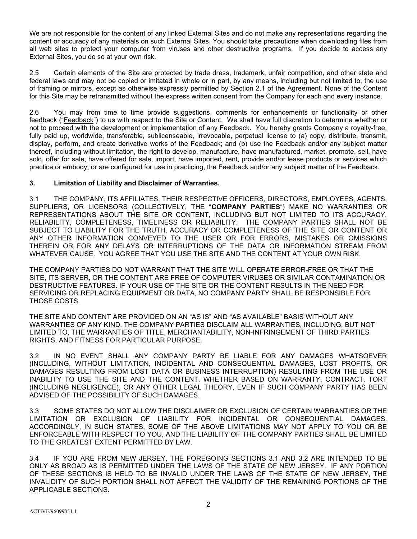We are not responsible for the content of any linked External Sites and do not make any representations regarding the content or accuracy of any materials on such External Sites. You should take precautions when downloading files from all web sites to protect your computer from viruses and other destructive programs. If you decide to access any External Sites, you do so at your own risk.

2.5 Certain elements of the Site are protected by trade dress, trademark, unfair competition, and other state and federal laws and may not be copied or imitated in whole or in part, by any means, including but not limited to, the use of framing or mirrors, except as otherwise expressly permitted by Section 2.1 of the Agreement. None of the Content for this Site may be retransmitted without the express written consent from the Company for each and every instance.

2.6 You may from time to time provide suggestions, comments for enhancements or functionality or other feedback ("Feedback") to us with respect to the Site or Content. We shall have full discretion to determine whether or not to proceed with the development or implementation of any Feedback. You hereby grants Company a royalty-free, fully paid up, worldwide, transferable, sublicenseable, irrevocable, perpetual license to (a) copy, distribute, transmit, display, perform, and create derivative works of the Feedback; and (b) use the Feedback and/or any subject matter thereof, including without limitation, the right to develop, manufacture, have manufactured, market, promote, sell, have sold, offer for sale, have offered for sale, import, have imported, rent, provide and/or lease products or services which practice or embody, or are configured for use in practicing, the Feedback and/or any subject matter of the Feedback.

### 3. Limitation of Liability and Disclaimer of Warranties.

3.1 THE COMPANY, ITS AFFILIATES, THEIR RESPECTIVE OFFICERS, DIRECTORS, EMPLOYEES, AGENTS, SUPPLIERS, OR LICENSORS (COLLECTIVELY, THE "COMPANY PARTIES") MAKE NO WARRANTIES OR REPRESENTATIONS ABOUT THE SITE OR CONTENT, INCLUDING BUT NOT LIMITED TO ITS ACCURACY, RELIABILITY, COMPLETENESS, TIMELINESS OR RELIABILITY. THE COMPANY PARTIES SHALL NOT BE SUBJECT TO LIABILITY FOR THE TRUTH, ACCURACY OR COMPLETENESS OF THE SITE OR CONTENT OR ANY OTHER INFORMATION CONVEYED TO THE USER OR FOR ERRORS, MISTAKES OR OMISSIONS THEREIN OR FOR ANY DELAYS OR INTERRUPTIONS OF THE DATA OR INFORMATION STREAM FROM WHATEVER CAUSE. YOU AGREE THAT YOU USE THE SITE AND THE CONTENT AT YOUR OWN RISK.

THE COMPANY PARTIES DO NOT WARRANT THAT THE SITE WILL OPERATE ERROR-FREE OR THAT THE SITE, ITS SERVER, OR THE CONTENT ARE FREE OF COMPUTER VIRUSES OR SIMILAR CONTAMINATION OR DESTRUCTIVE FEATURES. IF YOUR USE OF THE SITE OR THE CONTENT RESULTS IN THE NEED FOR SERVICING OR REPLACING EQUIPMENT OR DATA, NO COMPANY PARTY SHALL BE RESPONSIBLE FOR THOSE COSTS.

THE SITE AND CONTENT ARE PROVIDED ON AN "AS IS" AND "AS AVAILABLE" BASIS WITHOUT ANY WARRANTIES OF ANY KIND. THE COMPANY PARTIES DISCLAIM ALL WARRANTIES, INCLUDING, BUT NOT LIMITED TO, THE WARRANTIES OF TITLE, MERCHANTABILITY, NON-INFRINGEMENT OF THIRD PARTIES RIGHTS, AND FITNESS FOR PARTICULAR PURPOSE.

3.2 IN NO EVENT SHALL ANY COMPANY PARTY BE LIABLE FOR ANY DAMAGES WHATSOEVER (INCLUDING, WITHOUT LIMITATION, INCIDENTAL AND CONSEQUENTIAL DAMAGES, LOST PROFITS, OR DAMAGES RESULTING FROM LOST DATA OR BUSINESS INTERRUPTION) RESULTING FROM THE USE OR INABILITY TO USE THE SITE AND THE CONTENT, WHETHER BASED ON WARRANTY, CONTRACT, TORT (INCLUDING NEGLIGENCE), OR ANY OTHER LEGAL THEORY, EVEN IF SUCH COMPANY PARTY HAS BEEN ADVISED OF THE POSSIBILITY OF SUCH DAMAGES.

3.3 SOME STATES DO NOT ALLOW THE DISCLAIMER OR EXCLUSION OF CERTAIN WARRANTIES OR THE LIMITATION OR EXCLUSION OF LIABILITY FOR INCIDENTAL OR CONSEQUENTIAL DAMAGES. ACCORDINGLY, IN SUCH STATES, SOME OF THE ABOVE LIMITATIONS MAY NOT APPLY TO YOU OR BE ENFORCEABLE WITH RESPECT TO YOU, AND THE LIABILITY OF THE COMPANY PARTIES SHALL BE LIMITED TO THE GREATEST EXTENT PERMITTED BY LAW.

3.4 IF YOU ARE FROM NEW JERSEY, THE FOREGOING SECTIONS 3.1 AND 3.2 ARE INTENDED TO BE ONLY AS BROAD AS IS PERMITTED UNDER THE LAWS OF THE STATE OF NEW JERSEY. IF ANY PORTION OF THESE SECTIONS IS HELD TO BE INVALID UNDER THE LAWS OF THE STATE OF NEW JERSEY, THE INVALIDITY OF SUCH PORTION SHALL NOT AFFECT THE VALIDITY OF THE REMAINING PORTIONS OF THE APPLICABLE SECTIONS.